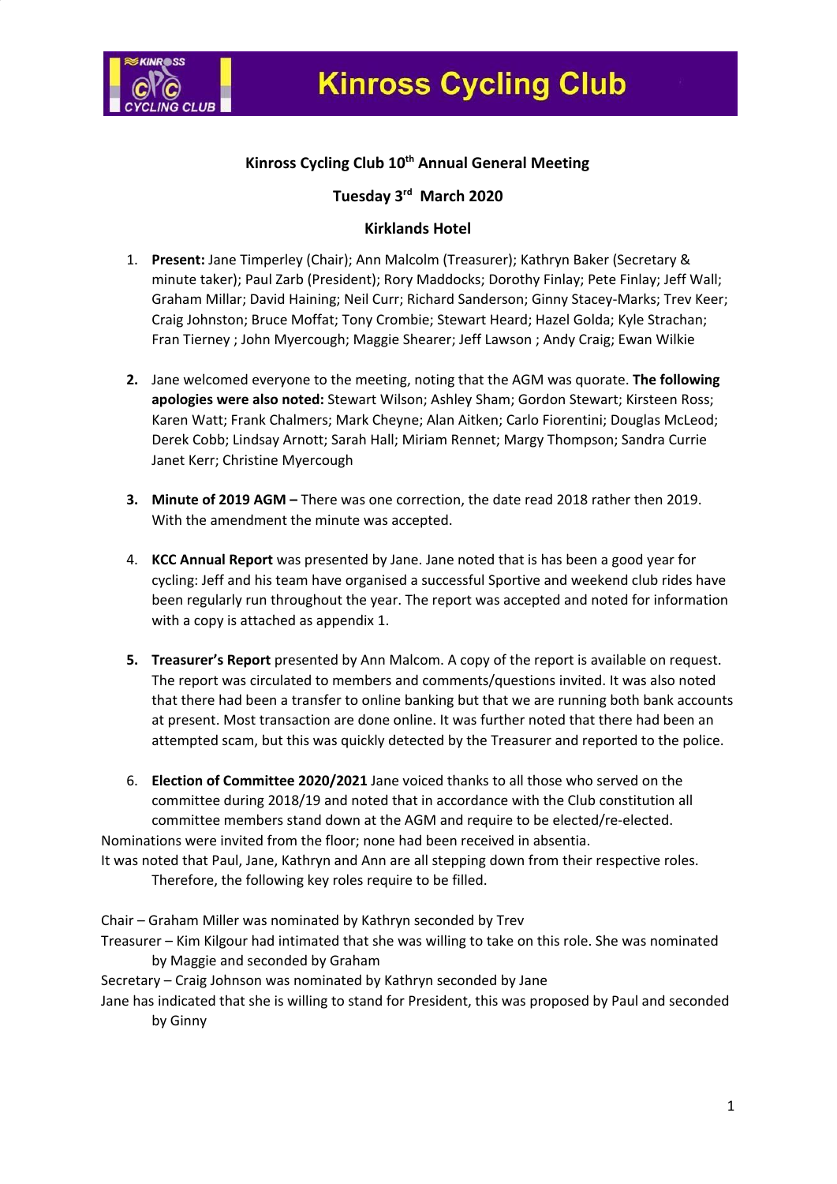

# **Kinross Cycling Club 10th Annual General Meeting**

## **Tuesday 3rd March 2020**

#### **Kirklands Hotel**

- 1. **Present:** Jane Timperley (Chair); Ann Malcolm (Treasurer); Kathryn Baker (Secretary & minute taker); Paul Zarb (President); Rory Maddocks; Dorothy Finlay; Pete Finlay; Jeff Wall; Graham Millar; David Haining; Neil Curr; Richard Sanderson; Ginny Stacey-Marks; Trev Keer; Craig Johnston; Bruce Moffat; Tony Crombie; Stewart Heard; Hazel Golda; Kyle Strachan; Fran Tierney ; John Myercough; Maggie Shearer; Jeff Lawson ; Andy Craig; Ewan Wilkie
- **2.** Jane welcomed everyone to the meeting, noting that the AGM was quorate. **The following apologies were also noted:** Stewart Wilson; Ashley Sham; Gordon Stewart; Kirsteen Ross; Karen Watt; Frank Chalmers; Mark Cheyne; Alan Aitken; Carlo Fiorentini; Douglas McLeod; Derek Cobb; Lindsay Arnott; Sarah Hall; Miriam Rennet; Margy Thompson; Sandra Currie Janet Kerr; Christine Myercough
- **3. Minute of 2019 AGM –** There was one correction, the date read 2018 rather then 2019. With the amendment the minute was accepted.
- 4. **KCC Annual Report** was presented by Jane. Jane noted that is has been a good year for cycling: Jeff and his team have organised a successful Sportive and weekend club rides have been regularly run throughout the year. The report was accepted and noted for information with a copy is attached as appendix 1.
- **5. Treasurer's Report** presented by Ann Malcom. A copy of the report is available on request. The report was circulated to members and comments/questions invited. It was also noted that there had been a transfer to online banking but that we are running both bank accounts at present. Most transaction are done online. It was further noted that there had been an attempted scam, but this was quickly detected by the Treasurer and reported to the police.
- 6. **Election of Committee 2020/2021** Jane voiced thanks to all those who served on the committee during 2018/19 and noted that in accordance with the Club constitution all committee members stand down at the AGM and require to be elected/re-elected. Nominations were invited from the floor; none had been received in absentia.

It was noted that Paul, Jane, Kathryn and Ann are all stepping down from their respective roles. Therefore, the following key roles require to be filled.

Chair – Graham Miller was nominated by Kathryn seconded by Trev

Treasurer – Kim Kilgour had intimated that she was willing to take on this role. She was nominated by Maggie and seconded by Graham

Secretary – Craig Johnson was nominated by Kathryn seconded by Jane

Jane has indicated that she is willing to stand for President, this was proposed by Paul and seconded by Ginny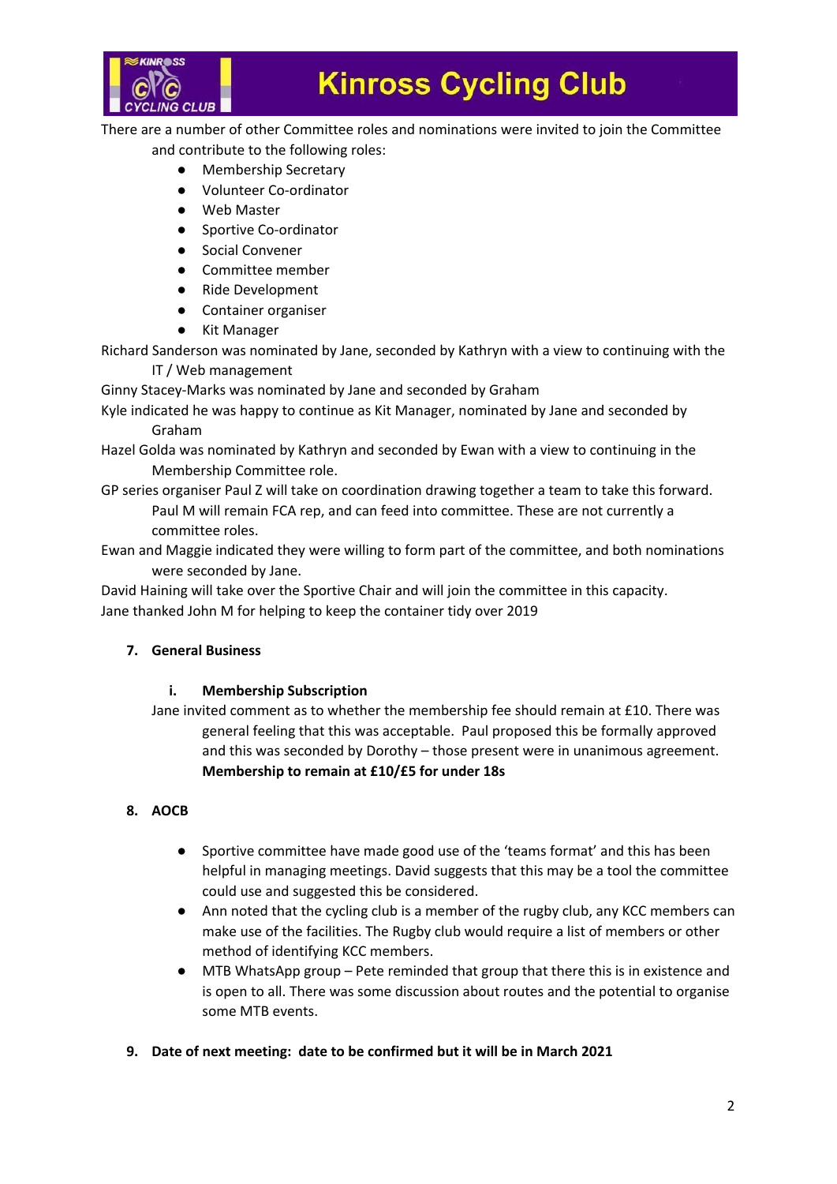

There are a number of other Committee roles and nominations were invited to join the Committee and contribute to the following roles:

- Membership Secretary
- Volunteer Co-ordinator
- Web Master
- Sportive Co-ordinator
- Social Convener
- Committee member
- Ride Development
- Container organiser
- Kit Manager

Richard Sanderson was nominated by Jane, seconded by Kathryn with a view to continuing with the

IT / Web management

Ginny Stacey-Marks was nominated by Jane and seconded by Graham Kyle indicated he was happy to continue as Kit Manager, nominated by Jane and seconded by

Graham

Hazel Golda was nominated by Kathryn and seconded by Ewan with a view to continuing in the Membership Committee role.

GP series organiser Paul Z will take on coordination drawing together a team to take this forward. Paul M will remain FCA rep, and can feed into committee. These are not currently a committee roles.

Ewan and Maggie indicated they were willing to form part of the committee, and both nominations were seconded by Jane.

David Haining will take over the Sportive Chair and will join the committee in this capacity. Jane thanked John M for helping to keep the container tidy over 2019

### **7. General Business**

#### **i. Membership Subscription**

Jane invited comment as to whether the membership fee should remain at £10. There was general feeling that this was acceptable. Paul proposed this be formally approved and this was seconded by Dorothy – those present were in unanimous agreement. **Membership to remain at £10/£5 for under 18s**

### **8. AOCB**

- Sportive committee have made good use of the 'teams format' and this has been helpful in managing meetings. David suggests that this may be a tool the committee could use and suggested this be considered.
- Ann noted that the cycling club is a member of the rugby club, any KCC members can make use of the facilities. The Rugby club would require a list of members or other method of identifying KCC members.
- MTB WhatsApp group Pete reminded that group that there this is in existence and is open to all. There was some discussion about routes and the potential to organise some MTB events.
- **9. Date of next meeting: date to be confirmed but it will be in March 2021**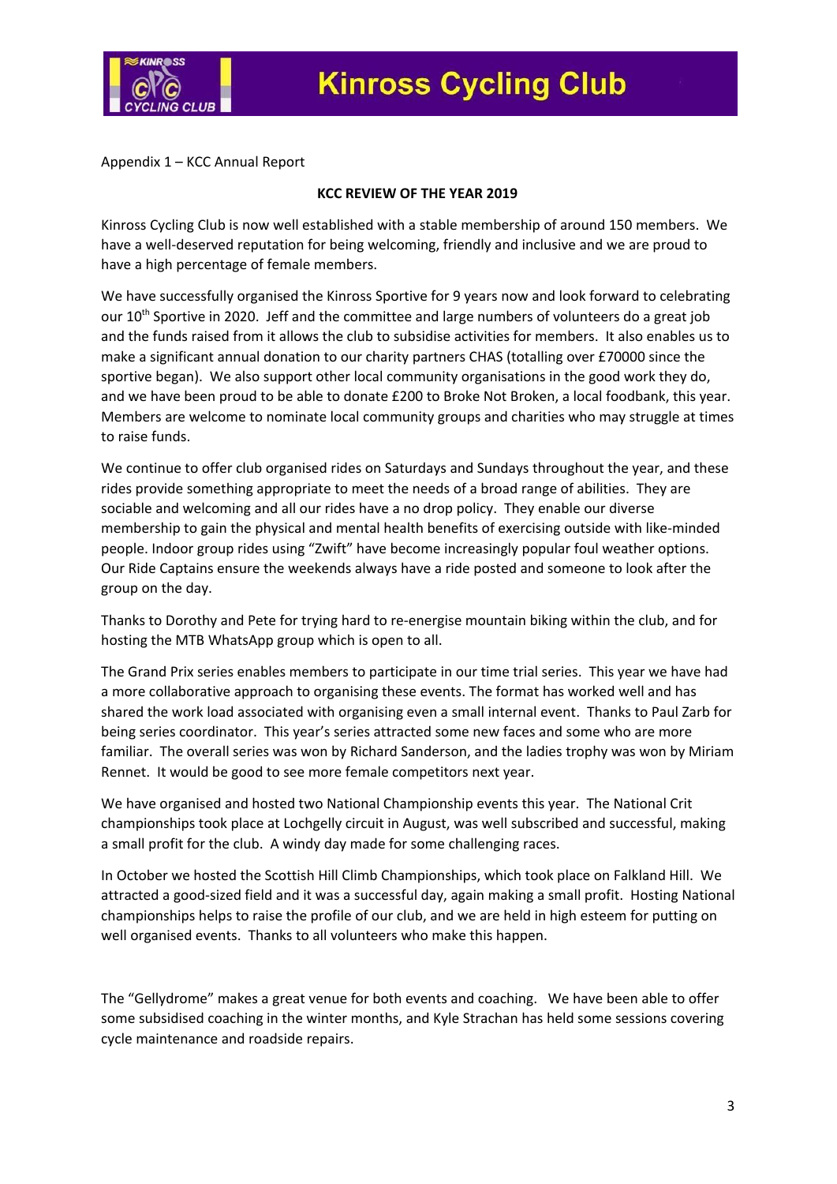

Appendix 1 – KCC Annual Report

#### **KCC REVIEW OF THE YEAR 2019**

Kinross Cycling Club is now well established with a stable membership of around 150 members. We have a well-deserved reputation for being welcoming, friendly and inclusive and we are proud to have a high percentage of female members.

We have successfully organised the Kinross Sportive for 9 years now and look forward to celebrating our 10<sup>th</sup> Sportive in 2020. Jeff and the committee and large numbers of volunteers do a great job and the funds raised from it allows the club to subsidise activities for members. It also enables us to make a significant annual donation to our charity partners CHAS (totalling over £70000 since the sportive began). We also support other local community organisations in the good work they do, and we have been proud to be able to donate £200 to Broke Not Broken, a local foodbank, this year. Members are welcome to nominate local community groups and charities who may struggle at times to raise funds.

We continue to offer club organised rides on Saturdays and Sundays throughout the year, and these rides provide something appropriate to meet the needs of a broad range of abilities. They are sociable and welcoming and all our rides have a no drop policy. They enable our diverse membership to gain the physical and mental health benefits of exercising outside with like-minded people. Indoor group rides using "Zwift" have become increasingly popular foul weather options. Our Ride Captains ensure the weekends always have a ride posted and someone to look after the group on the day.

Thanks to Dorothy and Pete for trying hard to re-energise mountain biking within the club, and for hosting the MTB WhatsApp group which is open to all.

The Grand Prix series enables members to participate in our time trial series. This year we have had a more collaborative approach to organising these events. The format has worked well and has shared the work load associated with organising even a small internal event. Thanks to Paul Zarb for being series coordinator. This year's series attracted some new faces and some who are more familiar. The overall series was won by Richard Sanderson, and the ladies trophy was won by Miriam Rennet. It would be good to see more female competitors next year.

We have organised and hosted two National Championship events this year. The National Crit championships took place at Lochgelly circuit in August, was well subscribed and successful, making a small profit for the club. A windy day made for some challenging races.

In October we hosted the Scottish Hill Climb Championships, which took place on Falkland Hill. We attracted a good-sized field and it was a successful day, again making a small profit. Hosting National championships helps to raise the profile of our club, and we are held in high esteem for putting on well organised events. Thanks to all volunteers who make this happen.

The "Gellydrome" makes a great venue for both events and coaching. We have been able to offer some subsidised coaching in the winter months, and Kyle Strachan has held some sessions covering cycle maintenance and roadside repairs.